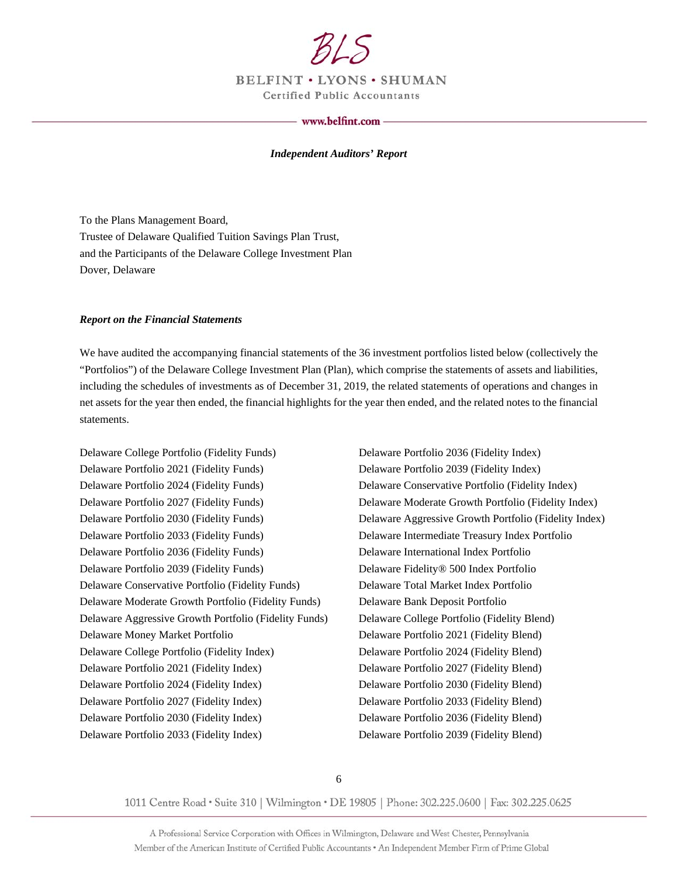

**BELFINT . LYONS . SHUMAN** Certified Public Accountants

# www.belfint.com

### *Independent Auditors' Report*

To the Plans Management Board, Trustee of Delaware Qualified Tuition Savings Plan Trust, and the Participants of the Delaware College Investment Plan Dover, Delaware

#### *Report on the Financial Statements*

We have audited the accompanying financial statements of the 36 investment portfolios listed below (collectively the "Portfolios") of the Delaware College Investment Plan (Plan), which comprise the statements of assets and liabilities, including the schedules of investments as of December 31, 2019, the related statements of operations and changes in net assets for the year then ended, the financial highlights for the year then ended, and the related notes to the financial statements.

Delaware College Portfolio (Fidelity Funds) Delaware Portfolio 2036 (Fidelity Index) Delaware Portfolio 2021 (Fidelity Funds) Delaware Portfolio 2039 (Fidelity Index) Delaware Portfolio 2024 (Fidelity Funds) Delaware Conservative Portfolio (Fidelity Index) Delaware Portfolio 2027 (Fidelity Funds) Delaware Moderate Growth Portfolio (Fidelity Index) Delaware Portfolio 2033 (Fidelity Funds) Delaware Intermediate Treasury Index Portfolio Delaware Portfolio 2036 (Fidelity Funds) Delaware International Index Portfolio Delaware Portfolio 2039 (Fidelity Funds) Delaware Fidelity® 500 Index Portfolio Delaware Conservative Portfolio (Fidelity Funds) Delaware Total Market Index Portfolio Delaware Moderate Growth Portfolio (Fidelity Funds) Delaware Bank Deposit Portfolio Delaware Aggressive Growth Portfolio (Fidelity Funds) Delaware College Portfolio (Fidelity Blend) Delaware Money Market Portfolio Delaware Portfolio 2021 (Fidelity Blend) Delaware College Portfolio (Fidelity Index) Delaware Portfolio 2024 (Fidelity Blend) Delaware Portfolio 2021 (Fidelity Index) Delaware Portfolio 2027 (Fidelity Blend) Delaware Portfolio 2024 (Fidelity Index) Delaware Portfolio 2030 (Fidelity Blend) Delaware Portfolio 2027 (Fidelity Index) Delaware Portfolio 2033 (Fidelity Blend) Delaware Portfolio 2030 (Fidelity Index) Delaware Portfolio 2036 (Fidelity Blend) Delaware Portfolio 2033 (Fidelity Index) Delaware Portfolio 2039 (Fidelity Blend)

Delaware Portfolio 2030 (Fidelity Funds) Delaware Aggressive Growth Portfolio (Fidelity Index)

1011 Centre Road • Suite 310 | Wilmington • DE 19805 | Phone: 302.225.0600 | Fax: 302.225.0625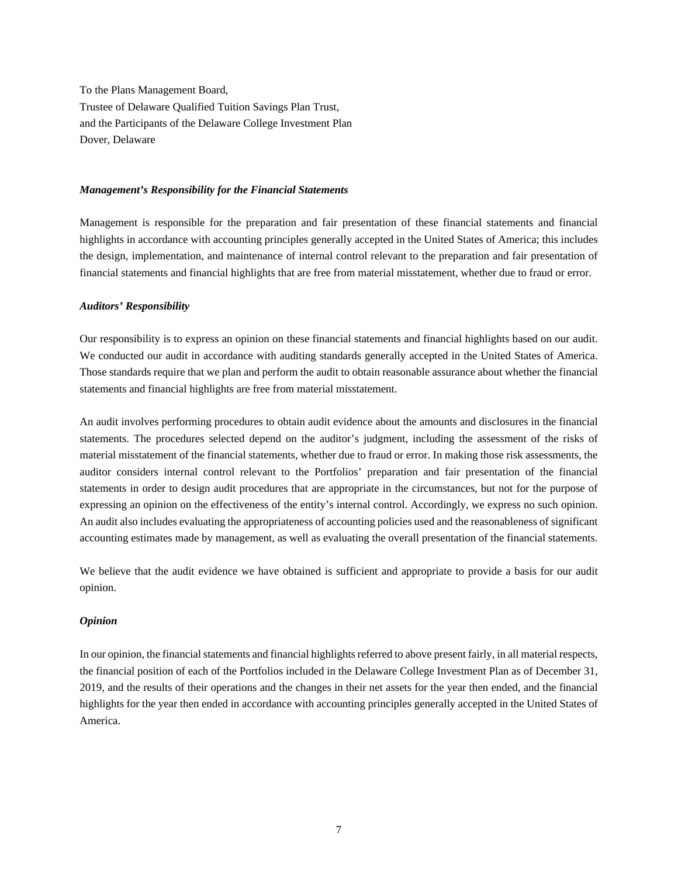To the Plans Management Board, Trustee of Delaware Qualified Tuition Savings Plan Trust, and the Participants of the Delaware College Investment Plan Dover, Delaware

### *Management's Responsibility for the Financial Statements*

Management is responsible for the preparation and fair presentation of these financial statements and financial highlights in accordance with accounting principles generally accepted in the United States of America; this includes the design, implementation, and maintenance of internal control relevant to the preparation and fair presentation of financial statements and financial highlights that are free from material misstatement, whether due to fraud or error.

### *Auditors' Responsibility*

Our responsibility is to express an opinion on these financial statements and financial highlights based on our audit. We conducted our audit in accordance with auditing standards generally accepted in the United States of America. Those standards require that we plan and perform the audit to obtain reasonable assurance about whether the financial statements and financial highlights are free from material misstatement.

An audit involves performing procedures to obtain audit evidence about the amounts and disclosures in the financial statements. The procedures selected depend on the auditor's judgment, including the assessment of the risks of material misstatement of the financial statements, whether due to fraud or error. In making those risk assessments, the auditor considers internal control relevant to the Portfolios' preparation and fair presentation of the financial statements in order to design audit procedures that are appropriate in the circumstances, but not for the purpose of expressing an opinion on the effectiveness of the entity's internal control. Accordingly, we express no such opinion. An audit also includes evaluating the appropriateness of accounting policies used and the reasonableness of significant accounting estimates made by management, as well as evaluating the overall presentation of the financial statements.

We believe that the audit evidence we have obtained is sufficient and appropriate to provide a basis for our audit opinion.

# *Opinion*

In our opinion, the financial statements and financial highlights referred to above present fairly, in all material respects, the financial position of each of the Portfolios included in the Delaware College Investment Plan as of December 31, 2019, and the results of their operations and the changes in their net assets for the year then ended, and the financial highlights for the year then ended in accordance with accounting principles generally accepted in the United States of America.